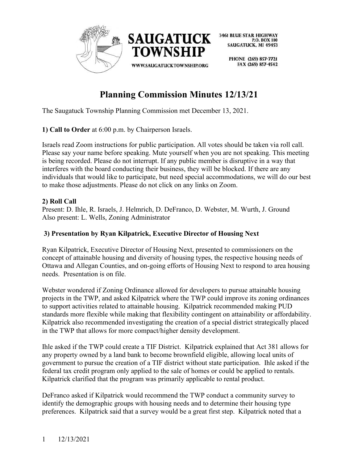

> PHONE (269) 857-7721 FAX (269) 857-4542

# **Planning Commission Minutes 12/13/21**

The Saugatuck Township Planning Commission met December 13, 2021.

# **1) Call to Order** at 6:00 p.m. by Chairperson Israels.

Israels read Zoom instructions for public participation. All votes should be taken via roll call. Please say your name before speaking. Mute yourself when you are not speaking. This meeting is being recorded. Please do not interrupt. If any public member is disruptive in a way that interferes with the board conducting their business, they will be blocked. If there are any individuals that would like to participate, but need special accommodations, we will do our best to make those adjustments. Please do not click on any links on Zoom.

# **2) Roll Call**

Present: D. Ihle, R. Israels, J. Helmrich, D. DeFranco, D. Webster, M. Wurth, J. Ground Also present: L. Wells, Zoning Administrator

# **3) Presentation by Ryan Kilpatrick, Executive Director of Housing Next**

Ryan Kilpatrick, Executive Director of Housing Next, presented to commissioners on the concept of attainable housing and diversity of housing types, the respective housing needs of Ottawa and Allegan Counties, and on-going efforts of Housing Next to respond to area housing needs. Presentation is on file.

Webster wondered if Zoning Ordinance allowed for developers to pursue attainable housing projects in the TWP, and asked Kilpatrick where the TWP could improve its zoning ordinances to support activities related to attainable housing. Kilpatrick recommended making PUD standards more flexible while making that flexibility contingent on attainability or affordability. Kilpatrick also recommended investigating the creation of a special district strategically placed in the TWP that allows for more compact/higher density development.

Ihle asked if the TWP could create a TIF District. Kilpatrick explained that Act 381 allows for any property owned by a land bank to become brownfield eligible, allowing local units of government to pursue the creation of a TIF district without state participation. Ihle asked if the federal tax credit program only applied to the sale of homes or could be applied to rentals. Kilpatrick clarified that the program was primarily applicable to rental product.

DeFranco asked if Kilpatrick would recommend the TWP conduct a community survey to identify the demographic groups with housing needs and to determine their housing type preferences. Kilpatrick said that a survey would be a great first step. Kilpatrick noted that a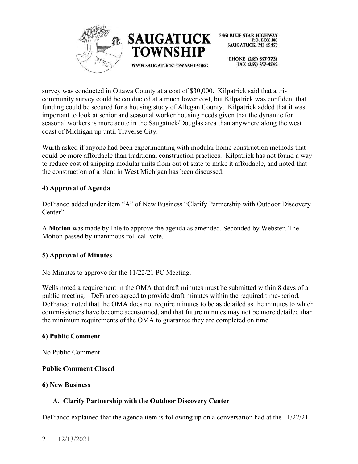



> PHONE (269) 857-7721 FAX (269) 857-4542

survey was conducted in Ottawa County at a cost of \$30,000. Kilpatrick said that a tricommunity survey could be conducted at a much lower cost, but Kilpatrick was confident that funding could be secured for a housing study of Allegan County. Kilpatrick added that it was important to look at senior and seasonal worker housing needs given that the dynamic for seasonal workers is more acute in the Saugatuck/Douglas area than anywhere along the west coast of Michigan up until Traverse City.

Wurth asked if anyone had been experimenting with modular home construction methods that could be more affordable than traditional construction practices. Kilpatrick has not found a way to reduce cost of shipping modular units from out of state to make it affordable, and noted that the construction of a plant in West Michigan has been discussed.

# **4) Approval of Agenda**

DeFranco added under item "A" of New Business "Clarify Partnership with Outdoor Discovery Center"

A **Motion** was made by Ihle to approve the agenda as amended. Seconded by Webster. The Motion passed by unanimous roll call vote.

#### **5) Approval of Minutes**

No Minutes to approve for the 11/22/21 PC Meeting.

Wells noted a requirement in the OMA that draft minutes must be submitted within 8 days of a public meeting. DeFranco agreed to provide draft minutes within the required time-period. DeFranco noted that the OMA does not require minutes to be as detailed as the minutes to which commissioners have become accustomed, and that future minutes may not be more detailed than the minimum requirements of the OMA to guarantee they are completed on time.

#### **6) Public Comment**

No Public Comment

#### **Public Comment Closed**

#### **6) New Business**

#### **A. Clarify Partnership with the Outdoor Discovery Center**

DeFranco explained that the agenda item is following up on a conversation had at the 11/22/21

#### 2 12/13/2021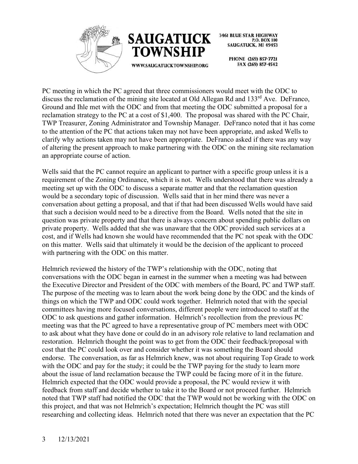



> PHONE (269) 857-7721 FAX (269) 857-4542

PC meeting in which the PC agreed that three commissioners would meet with the ODC to discuss the reclamation of the mining site located at Old Allegan Rd and 133<sup>rd</sup> Ave. DeFranco, Ground and Ihle met with the ODC and from that meeting the ODC submitted a proposal for a reclamation strategy to the PC at a cost of \$1,400. The proposal was shared with the PC Chair, TWP Treasurer, Zoning Administrator and Township Manager. DeFranco noted that it has come to the attention of the PC that actions taken may not have been appropriate, and asked Wells to clarify why actions taken may not have been appropriate. DeFranco asked if there was any way of altering the present approach to make partnering with the ODC on the mining site reclamation an appropriate course of action.

Wells said that the PC cannot require an applicant to partner with a specific group unless it is a requirement of the Zoning Ordinance, which it is not. Wells understood that there was already a meeting set up with the ODC to discuss a separate matter and that the reclamation question would be a secondary topic of discussion. Wells said that in her mind there was never a conversation about getting a proposal, and that if that had been discussed Wells would have said that such a decision would need to be a directive from the Board. Wells noted that the site in question was private property and that there is always concern about spending public dollars on private property. Wells added that she was unaware that the ODC provided such services at a cost, and if Wells had known she would have recommended that the PC not speak with the ODC on this matter. Wells said that ultimately it would be the decision of the applicant to proceed with partnering with the ODC on this matter.

Helmrich reviewed the history of the TWP's relationship with the ODC, noting that conversations with the ODC began in earnest in the summer when a meeting was had between the Executive Director and President of the ODC with members of the Board, PC and TWP staff. The purpose of the meeting was to learn about the work being done by the ODC and the kinds of things on which the TWP and ODC could work together. Helmrich noted that with the special committees having more focused conversations, different people were introduced to staff at the ODC to ask questions and gather information. Helmrich's recollection from the previous PC meeting was that the PC agreed to have a representative group of PC members meet with ODC to ask about what they have done or could do in an advisory role relative to land reclamation and restoration. Helmrich thought the point was to get from the ODC their feedback/proposal with cost that the PC could look over and consider whether it was something the Board should endorse. The conversation, as far as Helmrich knew, was not about requiring Top Grade to work with the ODC and pay for the study; it could be the TWP paying for the study to learn more about the issue of land reclamation because the TWP could be facing more of it in the future. Helmrich expected that the ODC would provide a proposal, the PC would review it with feedback from staff and decide whether to take it to the Board or not proceed further. Helmrich noted that TWP staff had notified the ODC that the TWP would not be working with the ODC on this project, and that was not Helmrich's expectation; Helmrich thought the PC was still researching and collecting ideas. Helmrich noted that there was never an expectation that the PC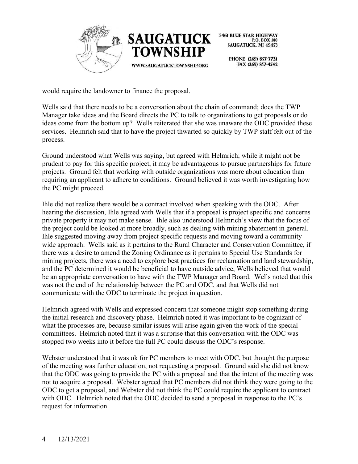



> PHONE (269) 857-7721 FAX (269) 857-4542

would require the landowner to finance the proposal.

Wells said that there needs to be a conversation about the chain of command; does the TWP Manager take ideas and the Board directs the PC to talk to organizations to get proposals or do ideas come from the bottom up? Wells reiterated that she was unaware the ODC provided these services. Helmrich said that to have the project thwarted so quickly by TWP staff felt out of the process.

Ground understood what Wells was saying, but agreed with Helmrich; while it might not be prudent to pay for this specific project, it may be advantageous to pursue partnerships for future projects. Ground felt that working with outside organizations was more about education than requiring an applicant to adhere to conditions. Ground believed it was worth investigating how the PC might proceed.

Ihle did not realize there would be a contract involved when speaking with the ODC. After hearing the discussion, Ihle agreed with Wells that if a proposal is project specific and concerns private property it may not make sense. Ihle also understood Helmrich's view that the focus of the project could be looked at more broadly, such as dealing with mining abatement in general. Ihle suggested moving away from project specific requests and moving toward a community wide approach. Wells said as it pertains to the Rural Character and Conservation Committee, if there was a desire to amend the Zoning Ordinance as it pertains to Special Use Standards for mining projects, there was a need to explore best practices for reclamation and land stewardship, and the PC determined it would be beneficial to have outside advice, Wells believed that would be an appropriate conversation to have with the TWP Manager and Board. Wells noted that this was not the end of the relationship between the PC and ODC, and that Wells did not communicate with the ODC to terminate the project in question.

Helmrich agreed with Wells and expressed concern that someone might stop something during the initial research and discovery phase. Helmrich noted it was important to be cognizant of what the processes are, because similar issues will arise again given the work of the special committees. Helmrich noted that it was a surprise that this conversation with the ODC was stopped two weeks into it before the full PC could discuss the ODC's response.

Webster understood that it was ok for PC members to meet with ODC, but thought the purpose of the meeting was further education, not requesting a proposal. Ground said she did not know that the ODC was going to provide the PC with a proposal and that the intent of the meeting was not to acquire a proposal. Webster agreed that PC members did not think they were going to the ODC to get a proposal, and Webster did not think the PC could require the applicant to contract with ODC. Helmrich noted that the ODC decided to send a proposal in response to the PC's request for information.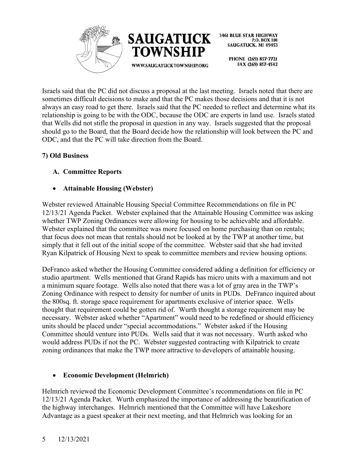



PHONE (269) 857-7721 FAX (269) 857-4542

Israels said that the PC did not discuss a proposal at the last meeting. Israels noted that there are sometimes difficult decisions to make and that the PC makes those decisions and that it is not always an easy road to get there. Israels said that the PC needed to reflect and determine what its relationship is going to be with the ODC, because the ODC are experts in land use. Israels stated that Wells did not stifle the proposal in question in any way. Israels suggested that the proposal should go to the Board, that the Board decide how the relationship will look between the PC and ODC, and that the PC will take direction from the Board.

# **7) Old Business**

# **A. Committee Reports**

# • **Attainable Housing (Webster)**

Webster reviewed Attainable Housing Special Committee Recommendations on file in PC 12/13/21 Agenda Packet. Webster explained that the Attainable Housing Committee was asking whether TWP Zoning Ordinances were allowing for housing to be achievable and affordable. Webster explained that the committee was more focused on home purchasing than on rentals; that focus does not mean that rentals should not be looked at by the TWP at another time, but simply that it fell out of the initial scope of the committee. Webster said that she had invited Ryan Kilpatrick of Housing Next to speak to committee members and review housing options.

DeFranco asked whether the Housing Committee considered adding a definition for efficiency or studio apartment. Wells mentioned that Grand Rapids has micro units with a maximum and not a minimum square footage. Wells also noted that there was a lot of gray area in the TWP's Zoning Ordinance with respect to density for number of units in PUDs. DeFranco inquired about the 800sq. ft. storage space requirement for apartments exclusive of interior space. Wells thought that requirement could be gotten rid of. Wurth thought a storage requirement may be necessary. Webster asked whether "Apartment" would need to be redefined or should efficiency units should be placed under "special accommodations." Webster asked if the Housing Committee should venture into PUDs. Wells said that it was not necessary. Wurth asked who would address PUDs if not the PC. Webster suggested contracting with Kilpatrick to create zoning ordinances that make the TWP more attractive to developers of attainable housing.

# • **Economic Development (Helmrich)**

Helmrich reviewed the Economic Development Committee's recommendations on file in PC 12/13/21 Agenda Packet. Wurth emphasized the importance of addressing the beautification of the highway interchanges. Helmrich mentioned that the Committee will have Lakeshore Advantage as a guest speaker at their next meeting, and that Helmrich was looking for an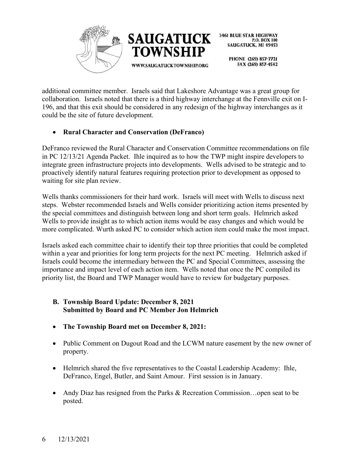



PHONE (269) 857-7721 FAX (269) 857-4542

additional committee member. Israels said that Lakeshore Advantage was a great group for collaboration. Israels noted that there is a third highway interchange at the Fennville exit on I-196, and that this exit should be considered in any redesign of the highway interchanges as it could be the site of future development.

# • **Rural Character and Conservation (DeFranco)**

DeFranco reviewed the Rural Character and Conservation Committee recommendations on file in PC 12/13/21 Agenda Packet. Ihle inquired as to how the TWP might inspire developers to integrate green infrastructure projects into developments. Wells advised to be strategic and to proactively identify natural features requiring protection prior to development as opposed to waiting for site plan review.

Wells thanks commissioners for their hard work. Israels will meet with Wells to discuss next steps. Webster recommended Israels and Wells consider prioritizing action items presented by the special committees and distinguish between long and short term goals. Helmrich asked Wells to provide insight as to which action items would be easy changes and which would be more complicated. Wurth asked PC to consider which action item could make the most impact.

Israels asked each committee chair to identify their top three priorities that could be completed within a year and priorities for long term projects for the next PC meeting. Helmrich asked if Israels could become the intermediary between the PC and Special Committees, assessing the importance and impact level of each action item. Wells noted that once the PC compiled its priority list, the Board and TWP Manager would have to review for budgetary purposes.

- **B. Township Board Update: December 8, 2021 Submitted by Board and PC Member Jon Helmrich**
- **The Township Board met on December 8, 2021:**
- Public Comment on Dugout Road and the LCWM nature easement by the new owner of property.
- Helmrich shared the five representatives to the Coastal Leadership Academy: Ihle, DeFranco, Engel, Butler, and Saint Amour. First session is in January.
- Andy Diaz has resigned from the Parks & Recreation Commission…open seat to be posted.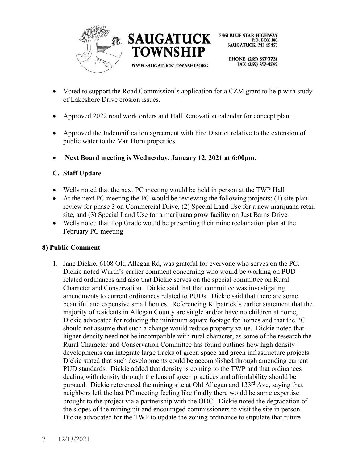



> PHONE (269) 857-7721 FAX (269) 857-4542

- Voted to support the Road Commission's application for a CZM grant to help with study of Lakeshore Drive erosion issues.
- Approved 2022 road work orders and Hall Renovation calendar for concept plan.
- Approved the Indemnification agreement with Fire District relative to the extension of public water to the Van Horn properties.
- **Next Board meeting is Wednesday, January 12, 2021 at 6:00pm.**

# **C. Staff Update**

- Wells noted that the next PC meeting would be held in person at the TWP Hall
- At the next PC meeting the PC would be reviewing the following projects: (1) site plan review for phase 3 on Commercial Drive, (2) Special Land Use for a new marijuana retail site, and (3) Special Land Use for a marijuana grow facility on Just Barns Drive
- Wells noted that Top Grade would be presenting their mine reclamation plan at the February PC meeting

#### **8) Public Comment**

1. Jane Dickie, 6108 Old Allegan Rd, was grateful for everyone who serves on the PC. Dickie noted Wurth's earlier comment concerning who would be working on PUD related ordinances and also that Dickie serves on the special committee on Rural Character and Conservation. Dickie said that that committee was investigating amendments to current ordinances related to PUDs. Dickie said that there are some beautiful and expensive small homes. Referencing Kilpatrick's earlier statement that the majority of residents in Allegan County are single and/or have no children at home, Dickie advocated for reducing the minimum square footage for homes and that the PC should not assume that such a change would reduce property value. Dickie noted that higher density need not be incompatible with rural character, as some of the research the Rural Character and Conservation Committee has found outlines how high density developments can integrate large tracks of green space and green infrastructure projects. Dickie stated that such developments could be accomplished through amending current PUD standards. Dickie added that density is coming to the TWP and that ordinances dealing with density through the lens of green practices and affordability should be pursued. Dickie referenced the mining site at Old Allegan and 133<sup>rd</sup> Ave, saying that neighbors left the last PC meeting feeling like finally there would be some expertise brought to the project via a partnership with the ODC. Dickie noted the degradation of the slopes of the mining pit and encouraged commissioners to visit the site in person. Dickie advocated for the TWP to update the zoning ordinance to stipulate that future